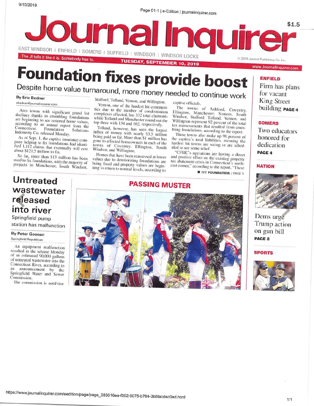Page 01-1 | e-Edition | journalinquirer.com



# **Foundation fixes provide boost**

## Despite home value turnaround, more money needed to continue work

#### **By Eric Bedner**

ebedner@journalinguirer.com

Area towns with significant grand list declines thanks to crumbling foundations are beginning to see restored home values, according to an annual report from the Connecticut Foundation Solutions Indemnity Co. released Monday.

As of Sept. 1, the captive insurance company helping to fix foundations had identified 1,112 claims that eventually will cost about \$121.5 million to fix.

So far, more than \$13 million has been used to fix foundations, with the majority of projects in Manchester, South Windsor, Stafford, Tolland, Vernon, and Willington.

Vernon, one of the hardest hit communities due to the number of condominium complexes affected, has 332 total claimants while Tolland and Manchester round out the top three with 134 and 102, respectively.

Tolland, however, has seen the largest influx of money with nearly \$3.5 million<br>being paid so far. More than \$1 million has gone to affected homeowners in each of the towns of Coventry, Ellington, South Windsor, and Willington.

Homes that have been reassessed at lower values due to deteriorating foundations are being fixed and property values are beginning to return to normal levels, according to

captive officials.

The towns of Ashford, Coventry, Ellington, Manchester, Somers, South Windsor, Stafford, Tolland, Vernon, and Willington represent 92 percent of the total tax reassessments that resulted from crumbling foundations, according to the report.

Those towns also make up 90 percent of the captive's total liabilities, meaning the hardest hit towns are seeing or are scheduled to see some relief.

"CFSIC's operations are having a direct and positive effect on the existing property tax abatement crisis in Connecticut's northeast corner," according to the report. "These **B** SEE FOUNDATION / PAGE 3

#### **ENFIELD**

Firm has plans for vacant **King Street** building PAGE 4

#### **SOMERS**

Two educators honored for dedication PAGE 4

#### **NATION**



Dems urge Trump action on gun bill PAGE 8

**SPORTS** 



## **Untreated** wastewater released into river

Springfield pump station has malfunction

By Peter Goonan Springfield Republican

An equipment malfunction resulted in the release Monday of an estimated 90,000 gallons of untreated wastewater into the Connecticut River, according to an announcement by the Springfield Water and Sewer Commission.

The commission is notifying

## **PASSING MUSTER**